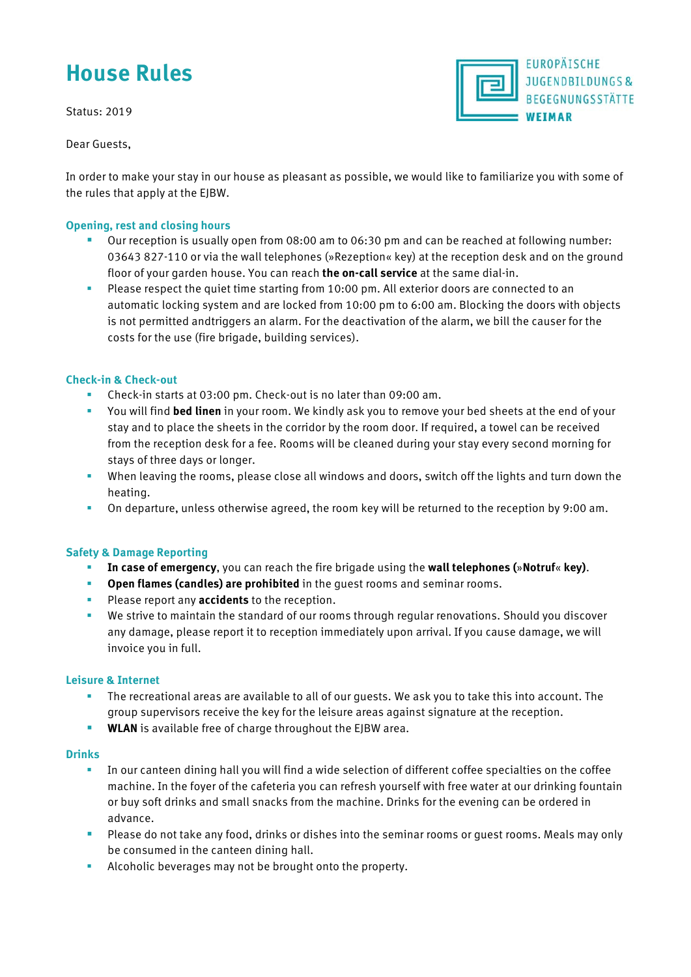# **House Rules**

Status: 2019

Dear Guests,



In order to make your stay in our house as pleasant as possible, we would like to familiarize you with some of the rules that apply at the EJBW.

# **Opening, rest and closing hours**

- Our reception is usually open from 08:00 am to 06:30 pm and can be reached at following number: 03643 827-110 or via the wall telephones (»Rezeption« key) at the reception desk and on the ground floor of your garden house. You can reach **the on-call service** at the same dial-in.
- **Please respect the quiet time starting from 10:00 pm. All exterior doors are connected to an** automatic locking system and are locked from 10:00 pm to 6:00 am. Blocking the doors with objects is not permitted andtriggers an alarm. For the deactivation of the alarm, we bill the causer for the costs for the use (fire brigade, building services).

# **Check-in & Check-out**

- Check-in starts at 03:00 pm. Check-out is no later than 09:00 am.
- You will find **bed linen** in your room. We kindly ask you to remove your bed sheets at the end of your stay and to place the sheets in the corridor by the room door. If required, a towel can be received from the reception desk for a fee. Rooms will be cleaned during your stay every second morning for stays of three days or longer.
- When leaving the rooms, please close all windows and doors, switch off the lights and turn down the heating.
- On departure, unless otherwise agreed, the room key will be returned to the reception by 9:00 am.

#### **Safety & Damage Reporting**

- **In case of emergency**, you can reach the fire brigade using the **wall telephones (**»**Notruf**« **key)**.
- **Open flames (candles) are prohibited** in the guest rooms and seminar rooms.
- **Please report any accidents** to the reception.
- We strive to maintain the standard of our rooms through regular renovations. Should you discover any damage, please report it to reception immediately upon arrival. If you cause damage, we will invoice you in full.

#### **Leisure & Internet**

- The recreational areas are available to all of our guests. We ask you to take this into account. The group supervisors receive the key for the leisure areas against signature at the reception.
- **WLAN** is available free of charge throughout the EJBW area.

#### **Drinks**

- In our canteen dining hall you will find a wide selection of different coffee specialties on the coffee machine. In the foyer of the cafeteria you can refresh yourself with free water at our drinking fountain or buy soft drinks and small snacks from the machine. Drinks for the evening can be ordered in advance.
- **Please do not take any food, drinks or dishes into the seminar rooms or guest rooms. Meals may only** be consumed in the canteen dining hall.
- **Alcoholic beverages may not be brought onto the property.**